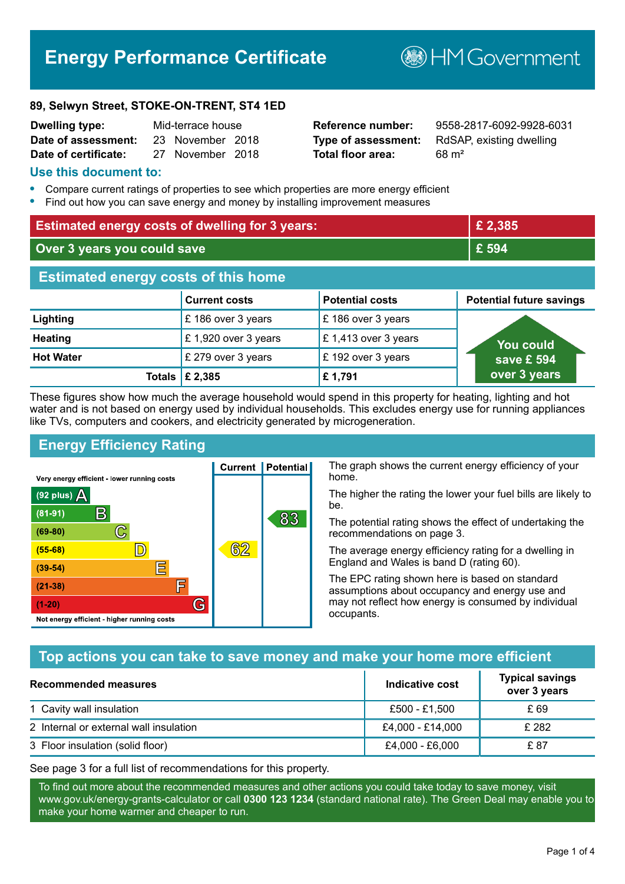# **Energy Performance Certificate**

**B**HM Government

#### **89, Selwyn Street, STOKE-ON-TRENT, ST4 1ED**

| <b>Dwelling type:</b> | Mid-terrace house |                  |  |
|-----------------------|-------------------|------------------|--|
| Date of assessment:   |                   | 23 November 2018 |  |
| Date of certificate:  |                   | 27 November 2018 |  |

# **Total floor area:** 68 m<sup>2</sup>

**Reference number:** 9558-2817-6092-9928-6031 **Type of assessment:** RdSAP, existing dwelling

#### **Use this document to:**

- **•** Compare current ratings of properties to see which properties are more energy efficient
- **•** Find out how you can save energy and money by installing improvement measures

| <b>Estimated energy costs of dwelling for 3 years:</b> |                                 | £ 2,385                |                                 |
|--------------------------------------------------------|---------------------------------|------------------------|---------------------------------|
| Over 3 years you could save                            |                                 | £ 594                  |                                 |
| <b>Estimated energy costs of this home</b>             |                                 |                        |                                 |
|                                                        | <b>Current costs</b>            | <b>Potential costs</b> | <b>Potential future savings</b> |
| Lighting                                               | £186 over 3 years               | £186 over 3 years      |                                 |
| <b>Heating</b>                                         | £1,920 over 3 years             | £1,413 over 3 years    | <b>You could</b>                |
| <b>Hot Water</b>                                       | £ 279 over 3 years              | £192 over 3 years      | save £ 594                      |
|                                                        | Totals $\mathbf \epsilon$ 2,385 | £1,791                 | over 3 years                    |

These figures show how much the average household would spend in this property for heating, lighting and hot water and is not based on energy used by individual households. This excludes energy use for running appliances like TVs, computers and cookers, and electricity generated by microgeneration.

**Current | Potential** 

62

# **Energy Efficiency Rating**

 $\mathbb{C}$ 

D)

E

肩

G

Very energy efficient - lower running costs

 $\mathsf{R}% _{T}$ 

Not energy efficient - higher running costs

 $(92$  plus)

 $(81 - 91)$ 

 $(69 - 80)$ 

 $(55-68)$ 

 $(39 - 54)$ 

 $(21-38)$ 

 $(1-20)$ 

- 70

The graph shows the current energy efficiency of your home.

The higher the rating the lower your fuel bills are likely to be.

The potential rating shows the effect of undertaking the recommendations on page 3.

The average energy efficiency rating for a dwelling in England and Wales is band D (rating 60).

The EPC rating shown here is based on standard assumptions about occupancy and energy use and may not reflect how energy is consumed by individual occupants.

# **Top actions you can take to save money and make your home more efficient**

83

| Recommended measures                   | Indicative cost  | <b>Typical savings</b><br>over 3 years |
|----------------------------------------|------------------|----------------------------------------|
| 1 Cavity wall insulation               | £500 - £1.500    | £ 69                                   |
| 2 Internal or external wall insulation | £4,000 - £14,000 | £ 282                                  |
| 3 Floor insulation (solid floor)       | £4,000 - £6,000  | £ 87                                   |

See page 3 for a full list of recommendations for this property.

To find out more about the recommended measures and other actions you could take today to save money, visit www.gov.uk/energy-grants-calculator or call **0300 123 1234** (standard national rate). The Green Deal may enable you to make your home warmer and cheaper to run.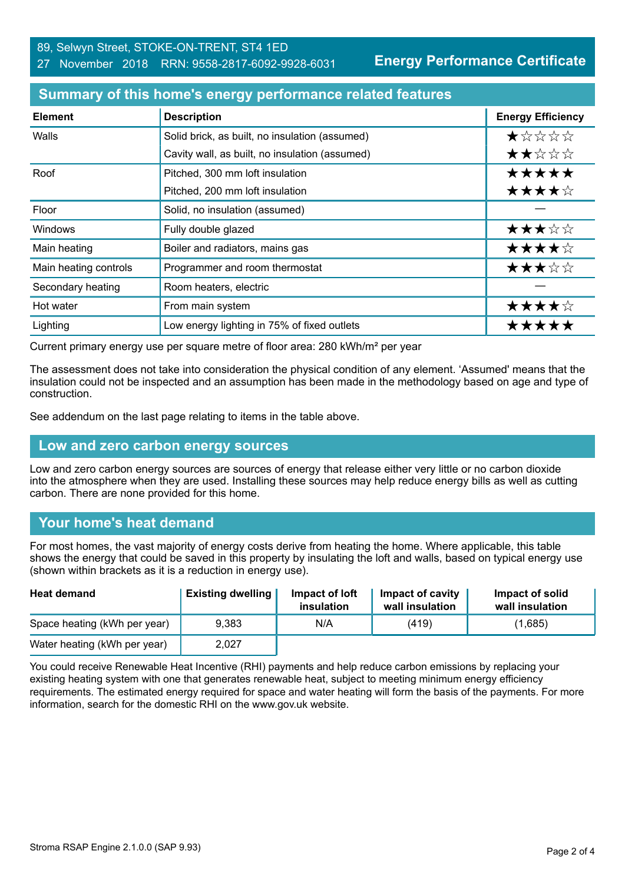#### 89, Selwyn Street, STOKE-ON-TRENT, ST4 1ED 27 November 2018 RRN: 9558-2817-6092-9928-6031

**Energy Performance Certificate**

#### **Summary of this home's energy performance related features**

| <b>Element</b>        | <b>Description</b>                             | <b>Energy Efficiency</b> |
|-----------------------|------------------------------------------------|--------------------------|
| Walls                 | Solid brick, as built, no insulation (assumed) | *****                    |
|                       | Cavity wall, as built, no insulation (assumed) | ★★☆☆☆                    |
| Roof                  | Pitched, 300 mm loft insulation                | *****                    |
|                       | Pitched, 200 mm loft insulation                | ★★★★☆                    |
| Floor                 | Solid, no insulation (assumed)                 |                          |
| <b>Windows</b>        | Fully double glazed                            | ★★★☆☆                    |
| Main heating          | Boiler and radiators, mains gas                | ★★★★☆                    |
| Main heating controls | Programmer and room thermostat                 | ★★★☆☆                    |
| Secondary heating     | Room heaters, electric                         |                          |
| Hot water             | From main system                               | ★★★★☆                    |
| Lighting              | Low energy lighting in 75% of fixed outlets    | *****                    |

Current primary energy use per square metre of floor area: 280 kWh/m² per year

The assessment does not take into consideration the physical condition of any element. 'Assumed' means that the insulation could not be inspected and an assumption has been made in the methodology based on age and type of construction.

See addendum on the last page relating to items in the table above.

#### **Low and zero carbon energy sources**

Low and zero carbon energy sources are sources of energy that release either very little or no carbon dioxide into the atmosphere when they are used. Installing these sources may help reduce energy bills as well as cutting carbon. There are none provided for this home.

# **Your home's heat demand**

For most homes, the vast majority of energy costs derive from heating the home. Where applicable, this table shows the energy that could be saved in this property by insulating the loft and walls, based on typical energy use (shown within brackets as it is a reduction in energy use).

| <b>Heat demand</b>           | <b>Existing dwelling</b> | Impact of loft<br>insulation | Impact of cavity<br>wall insulation | Impact of solid<br>wall insulation |
|------------------------------|--------------------------|------------------------------|-------------------------------------|------------------------------------|
| Space heating (kWh per year) | 9.383                    | N/A                          | (419)                               | (1,685)                            |
| Water heating (kWh per year) | 2,027                    |                              |                                     |                                    |

You could receive Renewable Heat Incentive (RHI) payments and help reduce carbon emissions by replacing your existing heating system with one that generates renewable heat, subject to meeting minimum energy efficiency requirements. The estimated energy required for space and water heating will form the basis of the payments. For more information, search for the domestic RHI on the www.gov.uk website.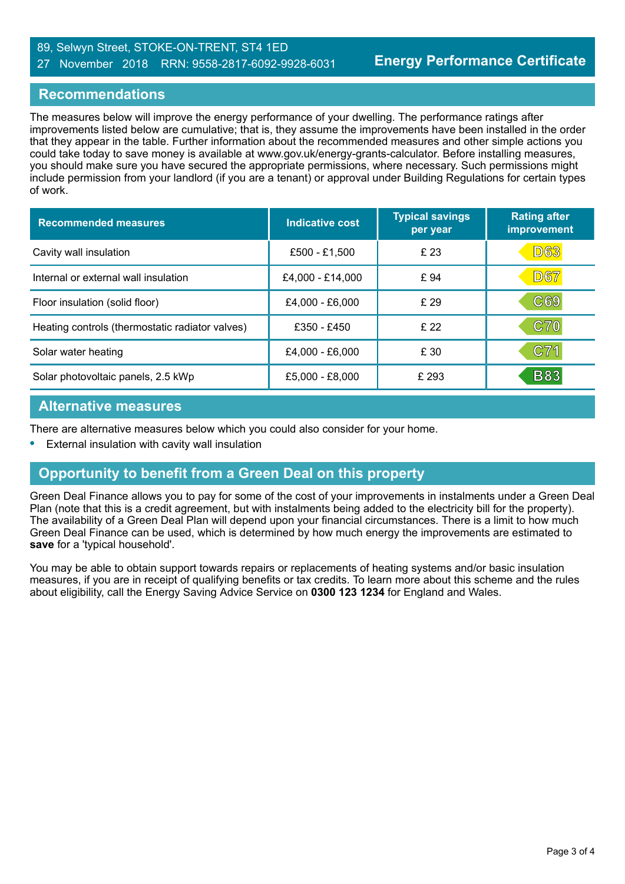#### 89, Selwyn Street, STOKE-ON-TRENT, ST4 1ED 27 November 2018 RRN: 9558-2817-6092-9928-6031

#### **Recommendations**

The measures below will improve the energy performance of your dwelling. The performance ratings after improvements listed below are cumulative; that is, they assume the improvements have been installed in the order that they appear in the table. Further information about the recommended measures and other simple actions you could take today to save money is available at www.gov.uk/energy-grants-calculator. Before installing measures, you should make sure you have secured the appropriate permissions, where necessary. Such permissions might include permission from your landlord (if you are a tenant) or approval under Building Regulations for certain types of work.

| <b>Recommended measures</b>                     | Indicative cost  | <b>Typical savings</b><br>per year | <b>Rating after</b><br>improvement |
|-------------------------------------------------|------------------|------------------------------------|------------------------------------|
| Cavity wall insulation                          | £500 - £1,500    | £23                                | D63                                |
| Internal or external wall insulation            | £4,000 - £14,000 | £ 94                               | <b>D67</b>                         |
| Floor insulation (solid floor)                  | £4,000 - £6,000  | £ 29                               | $\mathbb{C}69$                     |
| Heating controls (thermostatic radiator valves) | £350 - £450      | £22                                | C70                                |
| Solar water heating                             | £4,000 - £6,000  | £30                                | C71                                |
| Solar photovoltaic panels, 2.5 kWp              | £5,000 - £8,000  | £293                               | <b>B83</b>                         |

#### **Alternative measures**

There are alternative measures below which you could also consider for your home.

**•** External insulation with cavity wall insulation

# **Opportunity to benefit from a Green Deal on this property**

Green Deal Finance allows you to pay for some of the cost of your improvements in instalments under a Green Deal Plan (note that this is a credit agreement, but with instalments being added to the electricity bill for the property). The availability of a Green Deal Plan will depend upon your financial circumstances. There is a limit to how much Green Deal Finance can be used, which is determined by how much energy the improvements are estimated to **save** for a 'typical household'.

You may be able to obtain support towards repairs or replacements of heating systems and/or basic insulation measures, if you are in receipt of qualifying benefits or tax credits. To learn more about this scheme and the rules about eligibility, call the Energy Saving Advice Service on **0300 123 1234** for England and Wales.